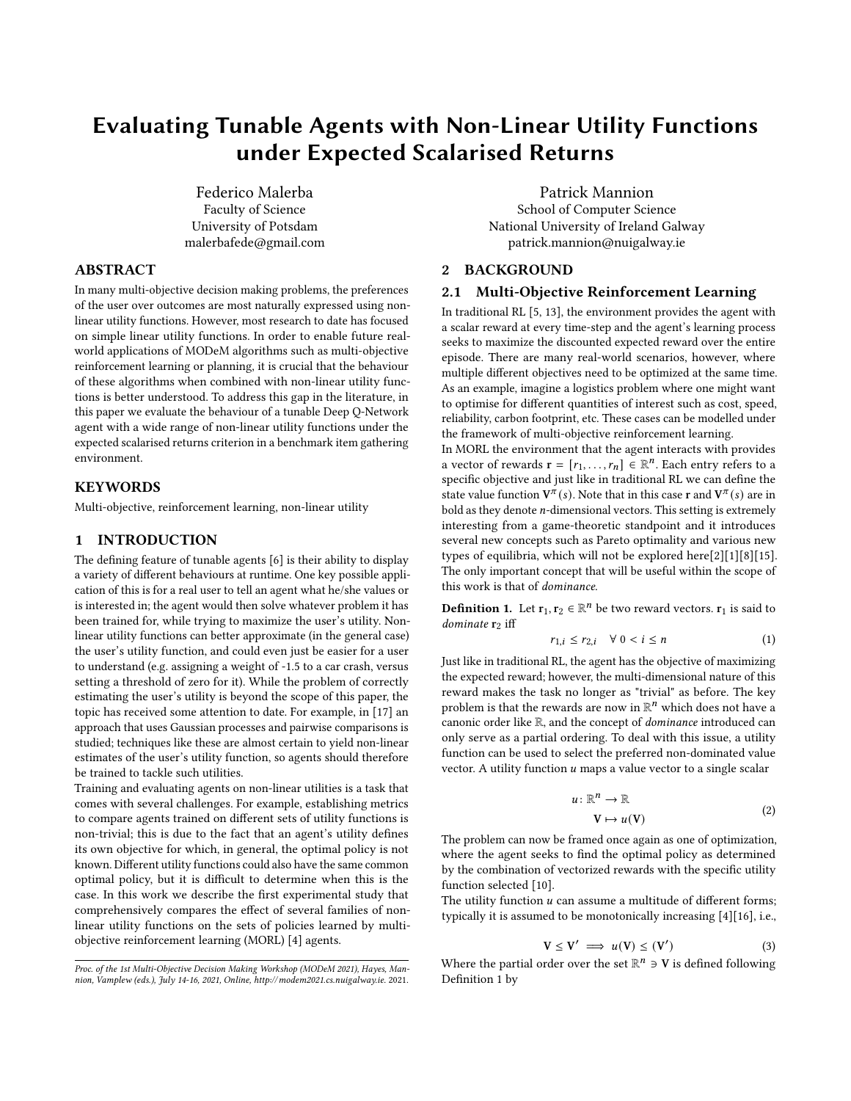# <span id="page-0-1"></span>Evaluating Tunable Agents with Non-Linear Utility Functions under Expected Scalarised Returns

Federico Malerba Faculty of Science University of Potsdam malerbafede@gmail.com

# ABSTRACT

In many multi-objective decision making problems, the preferences of the user over outcomes are most naturally expressed using nonlinear utility functions. However, most research to date has focused on simple linear utility functions. In order to enable future realworld applications of MODeM algorithms such as multi-objective reinforcement learning or planning, it is crucial that the behaviour of these algorithms when combined with non-linear utility functions is better understood. To address this gap in the literature, in this paper we evaluate the behaviour of a tunable Deep Q-Network agent with a wide range of non-linear utility functions under the expected scalarised returns criterion in a benchmark item gathering environment.

#### **KEYWORDS**

Multi-objective, reinforcement learning, non-linear utility

#### 1 INTRODUCTION

The defining feature of tunable agents [\[6\]](#page-7-0) is their ability to display a variety of different behaviours at runtime. One key possible application of this is for a real user to tell an agent what he/she values or is interested in; the agent would then solve whatever problem it has been trained for, while trying to maximize the user's utility. Nonlinear utility functions can better approximate (in the general case) the user's utility function, and could even just be easier for a user to understand (e.g. assigning a weight of -1.5 to a car crash, versus setting a threshold of zero for it). While the problem of correctly estimating the user's utility is beyond the scope of this paper, the topic has received some attention to date. For example, in [\[17\]](#page-8-0) an approach that uses Gaussian processes and pairwise comparisons is studied; techniques like these are almost certain to yield non-linear estimates of the user's utility function, so agents should therefore be trained to tackle such utilities.

Training and evaluating agents on non-linear utilities is a task that comes with several challenges. For example, establishing metrics to compare agents trained on different sets of utility functions is non-trivial; this is due to the fact that an agent's utility defines its own objective for which, in general, the optimal policy is not known. Different utility functions could also have the same common optimal policy, but it is difficult to determine when this is the case. In this work we describe the first experimental study that comprehensively compares the effect of several families of nonlinear utility functions on the sets of policies learned by multiobjective reinforcement learning (MORL) [\[4\]](#page-7-1) agents.

Patrick Mannion School of Computer Science National University of Ireland Galway patrick.mannion@nuigalway.ie

# 2 BACKGROUND

#### 2.1 Multi-Objective Reinforcement Learning

In traditional RL [\[5,](#page-7-2) [13\]](#page-8-1), the environment provides the agent with a scalar reward at every time-step and the agent's learning process seeks to maximize the discounted expected reward over the entire episode. There are many real-world scenarios, however, where multiple different objectives need to be optimized at the same time. As an example, imagine a logistics problem where one might want to optimise for different quantities of interest such as cost, speed, reliability, carbon footprint, etc. These cases can be modelled under the framework of multi-objective reinforcement learning.

In MORL the environment that the agent interacts with provides a vector of rewards  $\mathbf{r} = [r_1, ..., r_n] \in \mathbb{R}^n$ . Each entry refers to a specific objective and just like in traditional RL we can define the state value function  $V^{\pi}(s)$ . Note that in this case **r** and  $V^{\pi}(s)$  are in bold as they denote  $n$ -dimensional vectors. This setting is extremely interesting from a game-theoretic standpoint and it introduces several new concepts such as Pareto optimality and various new types of equilibria, which will not be explored here[\[2\]](#page-7-3)[\[1\]](#page-7-4)[\[8\]](#page-8-2)[\[15\]](#page-8-3). The only important concept that will be useful within the scope of this work is that of dominance.

<span id="page-0-0"></span>**Definition 1.** Let  $\mathbf{r}_1, \mathbf{r}_2 \in \mathbb{R}^n$  be two reward vectors.  $\mathbf{r}_1$  is said to dominate  $r_2$  iff

$$
r_{1,i} \leq r_{2,i} \quad \forall \ 0 < i \leq n \tag{1}
$$

Just like in traditional RL, the agent has the objective of maximizing the expected reward; however, the multi-dimensional nature of this reward makes the task no longer as "trivial" as before. The key problem is that the rewards are now in  $\mathbb{R}^n$  which does not have a canonic order like R, and the concept of dominance introduced can only serve as a partial ordering. To deal with this issue, a utility function can be used to select the preferred non-dominated value vector. A utility function  $u$  maps a value vector to a single scalar

$$
u: \mathbb{R}^n \to \mathbb{R}
$$
  

$$
\mathbf{V} \mapsto u(\mathbf{V})
$$
 (2)

The problem can now be framed once again as one of optimization, where the agent seeks to find the optimal policy as determined by the combination of vectorized rewards with the specific utility function selected [\[10\]](#page-8-4).

The utility function  $u$  can assume a multitude of different forms; typically it is assumed to be monotonically increasing [\[4\]](#page-7-1)[\[16\]](#page-8-5), i.e.,

<span id="page-0-2"></span>
$$
V \le V' \implies u(V) \le (V') \tag{3}
$$

Where the partial order over the set  $\mathbb{R}^n \ni V$  is defined following Definition [1](#page-0-0) by

Proc. of the 1st Multi-Objective Decision Making Workshop (MODeM 2021), Hayes, Mannion, Vamplew (eds.), July 14-16, 2021, Online,<http://modem2021.cs.nuigalway.ie>. 2021.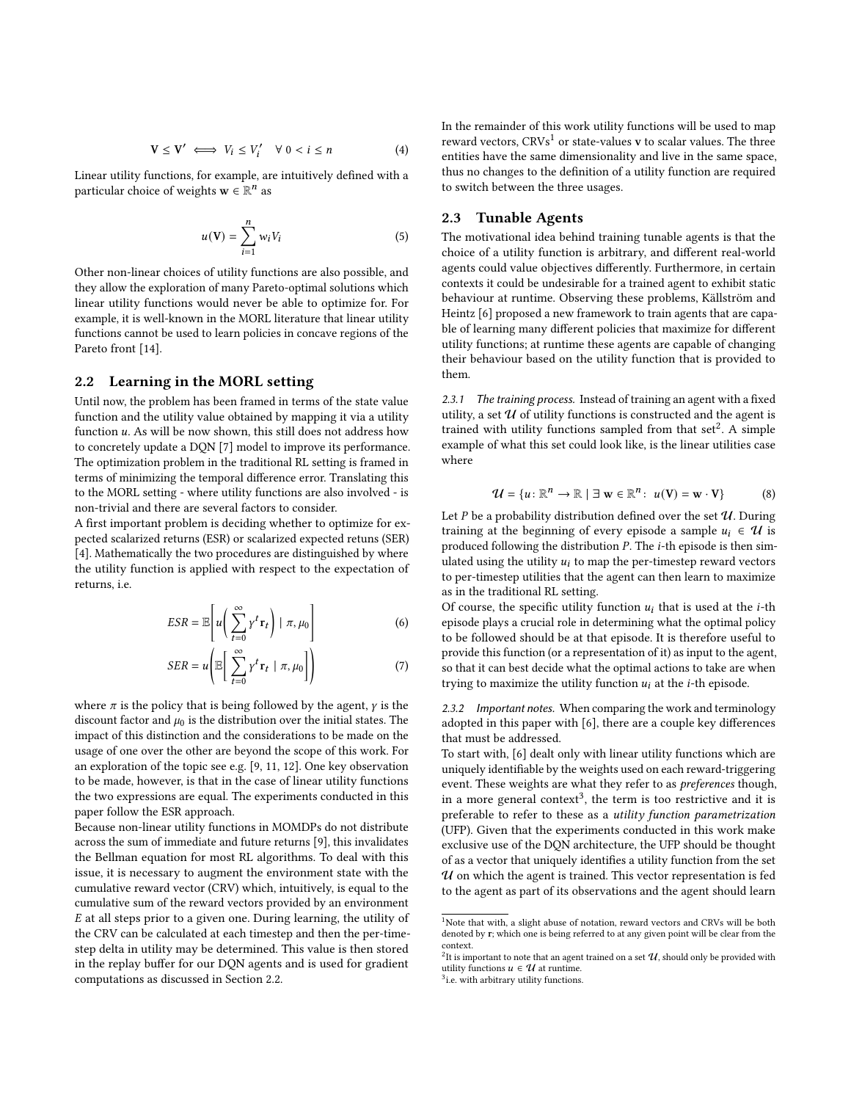$$
\mathbf{V} \leq \mathbf{V'} \iff V_i \leq V'_i \quad \forall \ 0 < i \leq n \tag{4}
$$

Linear utility functions, for example, are intuitively defined with a particular choice of weights  $\mathbf{w} \in \mathbb{R}^n$  as

$$
u(\mathbf{V}) = \sum_{i=1}^{n} w_i V_i \tag{5}
$$

Other non-linear choices of utility functions are also possible, and they allow the exploration of many Pareto-optimal solutions which linear utility functions would never be able to optimize for. For example, it is well-known in the [MORL](#page-0-1) literature that linear utility functions cannot be used to learn policies in concave regions of the Pareto front [\[14\]](#page-8-6).

# <span id="page-1-0"></span>2.2 Learning in the MORL setting

Until now, the problem has been framed in terms of the state value function and the utility value obtained by mapping it via a utility function  $u$ . As will be now shown, this still does not address how to concretely update a [DQN](#page-0-1) [\[7\]](#page-7-5) model to improve its performance. The optimization problem in the traditional [RL](#page-0-1) setting is framed in terms of minimizing the [temporal difference](#page-0-1) error. Translating this to the [MORL](#page-0-1) setting - where utility functions are also involved - is non-trivial and there are several factors to consider.

A first important problem is deciding whether to optimize for [ex](#page-0-1)[pected scalarized returns](#page-0-1) [\(ESR\)](#page-0-1) or [scalarized expected retuns](#page-0-1) [\(SER\)](#page-0-1) [\[4\]](#page-7-1). Mathematically the two procedures are distinguished by where the utility function is applied with respect to the expectation of returns, i.e.

$$
ESR = \mathbb{E}\left[u\left(\sum_{t=0}^{\infty} \gamma^t \mathbf{r}_t\right) \mid \pi, \mu_0\right]
$$
 (6)

$$
SER = u\left(\mathbb{E}\left[\sum_{t=0}^{\infty} \gamma^t \mathbf{r}_t \mid \pi, \mu_0\right]\right) \tag{7}
$$

where  $\pi$  is the policy that is being followed by the agent,  $\gamma$  is the discount factor and  $\mu_0$  is the distribution over the initial states. The impact of this distinction and the considerations to be made on the usage of one over the other are beyond the scope of this work. For an exploration of the topic see e.g. [\[9,](#page-8-7) [11,](#page-8-8) [12\]](#page-8-9). One key observation to be made, however, is that in the case of linear utility functions the two expressions are equal. The experiments conducted in this paper follow the [ESR](#page-0-1) approach.

Because non-linear utility functions in MOMDPs do not distribute across the sum of immediate and future returns [\[9\]](#page-8-7), this invalidates the Bellman equation for most RL algorithms. To deal with this issue, it is necessary to augment the environment state with the [cumulative reward vector](#page-0-1) [\(CRV\)](#page-0-1) which, intuitively, is equal to the cumulative sum of the reward vectors provided by an environment  $E$  at all steps prior to a given one. During learning, the utility of the [CRV](#page-0-1) can be calculated at each timestep and then the per-timestep delta in utility may be determined. This value is then stored in the replay buffer for our [DQN](#page-0-1) agents and is used for gradient computations as discussed in Section [2.2.](#page-1-0)

In the remainder of this work utility functions will be used to map reward vectors,  $CRVs<sup>1</sup>$  $CRVs<sup>1</sup>$  $CRVs<sup>1</sup>$  or state-values v to scalar values. The three entities have the same dimensionality and live in the same space, thus no changes to the definition of a utility function are required to switch between the three usages.

## <span id="page-1-4"></span>2.3 Tunable Agents

The motivational idea behind training tunable agents is that the choice of a utility function is arbitrary, and different real-world agents could value objectives differently. Furthermore, in certain contexts it could be undesirable for a trained agent to exhibit static behaviour at runtime. Observing these problems, Källström and Heintz [\[6\]](#page-7-0) proposed a new framework to train agents that are capable of learning many different policies that maximize for different utility functions; at runtime these agents are capable of changing their behaviour based on the utility function that is provided to them.

2.3.1 The training process. Instead of training an agent with a fixed utility, a set  $U$  of utility functions is constructed and the agent is trained with utility functions sampled from that  $\text{set}^2$  $\text{set}^2$ . A simple example of what this set could look like, is the linear utilities case where

<span id="page-1-5"></span>
$$
\mathcal{U} = \{u : \mathbb{R}^n \to \mathbb{R} \mid \exists \mathbf{w} \in \mathbb{R}^n : u(\mathbf{V}) = \mathbf{w} \cdot \mathbf{V}\}\
$$
 (8)

Let  $P$  be a probability distribution defined over the set  $U$ . During training at the beginning of every episode a sample  $u_i \in \mathcal{U}$  is produced following the distribution  $P$ . The  $i$ -th episode is then simulated using the utility  $u_i$  to map the per-timestep reward vectors to per-timestep utilities that the agent can then learn to maximize as in the traditional [RL](#page-0-1) setting.

Of course, the specific utility function  $u_i$  that is used at the *i*-th episode plays a crucial role in determining what the optimal policy to be followed should be at that episode. It is therefore useful to provide this function (or a representation of it) as input to the agent, so that it can best decide what the optimal actions to take are when trying to maximize the utility function  $u_i$  at the *i*-th episode.

2.3.2 Important notes. When comparing the work and terminology adopted in this paper with [\[6\]](#page-7-0), there are a couple key differences that must be addressed.

To start with, [\[6\]](#page-7-0) dealt only with linear utility functions which are uniquely identifiable by the weights used on each reward-triggering event. These weights are what they refer to as *preferences* though, in a more general context<sup>[3](#page-1-3)</sup>, the term is too restrictive and it is preferable to refer to these as a utility function parametrization [\(UFP\)](#page-0-1). Given that the experiments conducted in this work make exclusive use of the [DQN](#page-0-1) architecture, the [UFP](#page-0-1) should be thought of as a vector that uniquely identifies a utility function from the set  $U$  on which the agent is trained. This vector representation is fed to the agent as part of its observations and the agent should learn

<span id="page-1-1"></span><sup>&</sup>lt;sup>1</sup>Note that with, a slight abuse of notation, reward vectors and [CRVs](#page-0-1) will be both denoted by r; which one is being referred to at any given point will be clear from the context.

<span id="page-1-2"></span> $^2$ It is important to note that an agent trained on a set  $\mathcal U,$  should only be provided with utility functions  $u \in \mathcal{U}$  at runtime.

<span id="page-1-3"></span><sup>&</sup>lt;sup>3</sup>i.e. with arbitrary utility functions.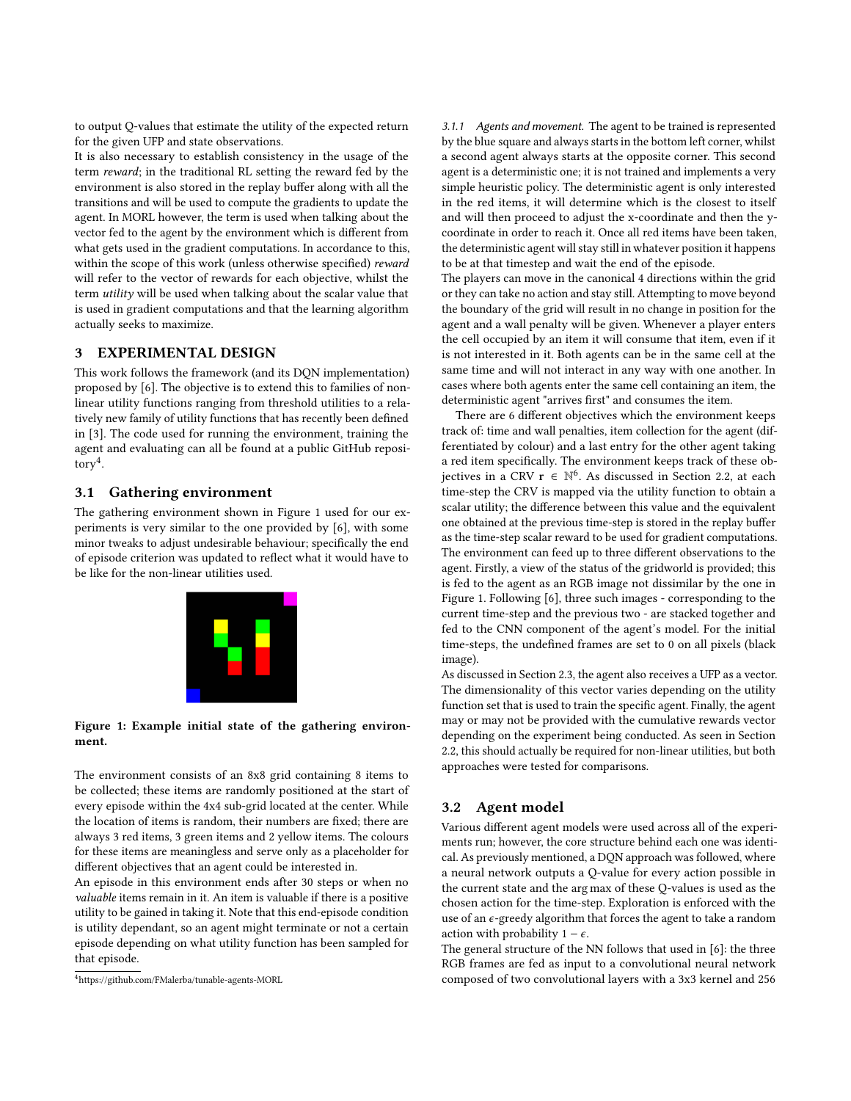to output Q-values that estimate the utility of the expected return for the given [UFP](#page-0-1) and state observations.

It is also necessary to establish consistency in the usage of the term reward; in the traditional RL setting the reward fed by the environment is also stored in the replay buffer along with all the transitions and will be used to compute the gradients to update the agent. In [MORL](#page-0-1) however, the term is used when talking about the vector fed to the agent by the environment which is different from what gets used in the gradient computations. In accordance to this, within the scope of this work (unless otherwise specified) reward will refer to the vector of rewards for each objective, whilst the term utility will be used when talking about the scalar value that is used in gradient computations and that the learning algorithm actually seeks to maximize.

# 3 EXPERIMENTAL DESIGN

This work follows the framework (and its [DQN](#page-0-1) implementation) proposed by [\[6\]](#page-7-0). The objective is to extend this to families of nonlinear utility functions ranging from threshold utilities to a relatively new family of utility functions that has recently been defined in [\[3\]](#page-7-6). The code used for running the environment, training the agent and evaluating can all be found at a public GitHub repository[4](#page-2-0) .

## <span id="page-2-2"></span>3.1 Gathering environment

<span id="page-2-1"></span>The gathering environment shown in Figure [1](#page-2-1) used for our experiments is very similar to the one provided by [\[6\]](#page-7-0), with some minor tweaks to adjust undesirable behaviour; specifically the end of episode criterion was updated to reflect what it would have to be like for the non-linear utilities used.



#### Figure 1: Example initial state of the gathering environment.

The environment consists of an 8x8 grid containing 8 items to be collected; these items are randomly positioned at the start of every episode within the 4x4 sub-grid located at the center. While the location of items is random, their numbers are fixed; there are always 3 red items, 3 green items and 2 yellow items. The colours for these items are meaningless and serve only as a placeholder for different objectives that an agent could be interested in.

An episode in this environment ends after 30 steps or when no valuable items remain in it. An item is valuable if there is a positive utility to be gained in taking it. Note that this end-episode condition is utility dependant, so an agent might terminate or not a certain episode depending on what utility function has been sampled for that episode.

<span id="page-2-0"></span><sup>4</sup>https://github.com/FMalerba/tunable-agents-MORL

<span id="page-2-3"></span>3.1.1 Agents and movement. The agent to be trained is represented by the blue square and always starts in the bottom left corner, whilst a second agent always starts at the opposite corner. This second agent is a deterministic one; it is not trained and implements a very simple heuristic policy. The deterministic agent is only interested in the red items, it will determine which is the closest to itself and will then proceed to adjust the x-coordinate and then the ycoordinate in order to reach it. Once all red items have been taken, the deterministic agent will stay still in whatever position it happens to be at that timestep and wait the end of the episode.

The players can move in the canonical 4 directions within the grid or they can take no action and stay still. Attempting to move beyond the boundary of the grid will result in no change in position for the agent and a wall penalty will be given. Whenever a player enters the cell occupied by an item it will consume that item, even if it is not interested in it. Both agents can be in the same cell at the same time and will not interact in any way with one another. In cases where both agents enter the same cell containing an item, the deterministic agent "arrives first" and consumes the item.

There are 6 different objectives which the environment keeps track of: time and wall penalties, item collection for the agent (differentiated by colour) and a last entry for the other agent taking a red item specifically. The environment keeps track of these ob-jectives in a [CRV](#page-0-1)  $\mathbf{r} \in \mathbb{N}^6$ . As discussed in Section [2.2,](#page-1-0) at each time-step the [CRV](#page-0-1) is mapped via the utility function to obtain a scalar utility; the difference between this value and the equivalent one obtained at the previous time-step is stored in the replay buffer as the time-step scalar reward to be used for gradient computations. The environment can feed up to three different observations to the agent. Firstly, a view of the status of the gridworld is provided; this is fed to the agent as an RGB image not dissimilar by the one in Figure [1.](#page-2-1) Following [\[6\]](#page-7-0), three such images - corresponding to the current time-step and the previous two - are stacked together and fed to the [CNN](#page-0-1) component of the agent's model. For the initial time-steps, the undefined frames are set to 0 on all pixels (black image).

As discussed in Section [2.3,](#page-1-4) the agent also receives a [UFP](#page-0-1) as a vector. The dimensionality of this vector varies depending on the utility function set that is used to train the specific agent. Finally, the agent may or may not be provided with the cumulative rewards vector depending on the experiment being conducted. As seen in Section [2.2,](#page-1-0) this should actually be required for non-linear utilities, but both approaches were tested for comparisons.

## <span id="page-2-4"></span>3.2 Agent model

Various different agent models were used across all of the experiments run; however, the core structure behind each one was identical. As previously mentioned, a [DQN](#page-0-1) approach was followed, where a [neural network](#page-0-1) outputs a Q-value for every action possible in the current state and the arg max of these Q-values is used as the chosen action for the time-step. Exploration is enforced with the use of an  $\epsilon$ -greedy algorithm that forces the agent to take a random action with probability  $1 - \epsilon$ .

The general structure of the [NN](#page-0-1) follows that used in [\[6\]](#page-7-0): the three RGB frames are fed as input to a [convolutional neural network](#page-0-1) composed of two convolutional layers with a 3x3 kernel and 256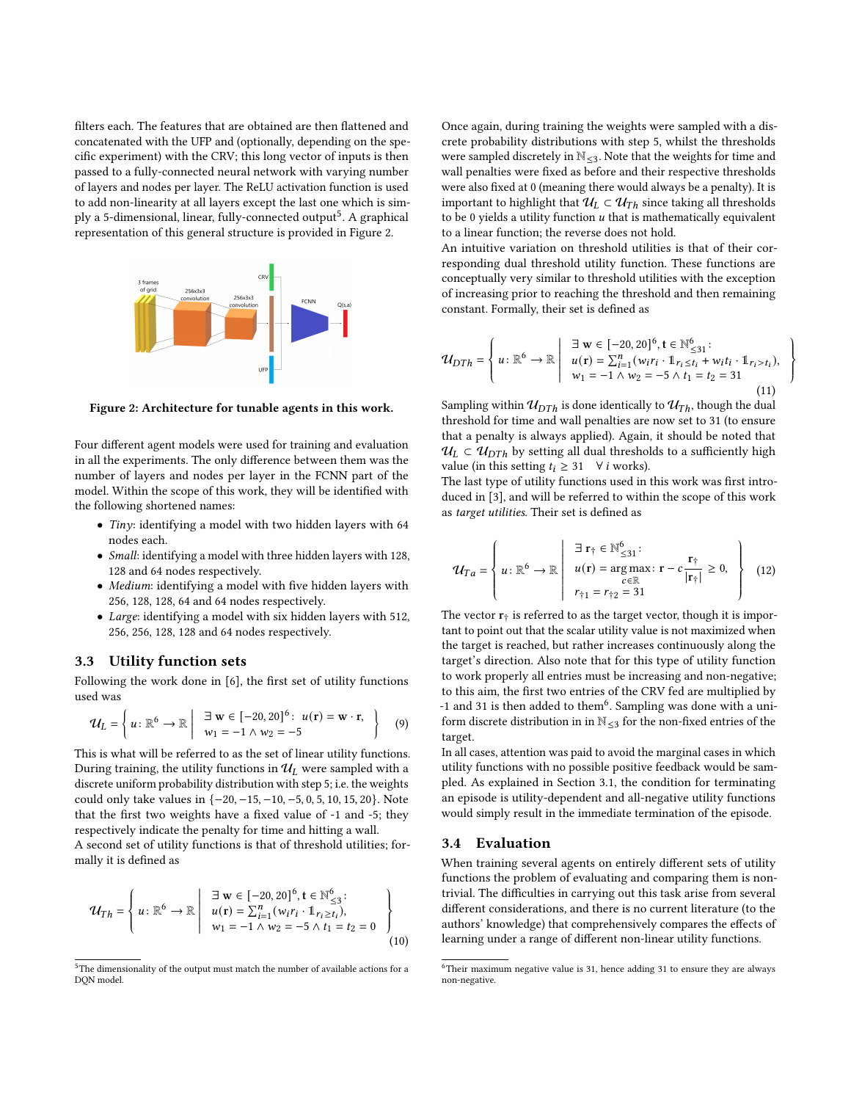filters each. The features that are obtained are then flattened and concatenated with the [UFP](#page-0-1) and (optionally, depending on the specific experiment) with the [CRV;](#page-0-1) this long vector of inputs is then passed to a [fully-connected neural network](#page-0-1) with varying number of layers and nodes per layer. The [ReLU](#page-0-1) activation function is used to add non-linearity at all layers except the last one which is sim-ply a [5](#page-3-0)-dimensional, linear, fully-connected output<sup>5</sup>. A graphical representation of this general structure is provided in Figure [2.](#page-3-1)

<span id="page-3-1"></span>

Figure 2: Architecture for tunable agents in this work.

Four different agent models were used for training and evaluation in all the experiments. The only difference between them was the number of layers and nodes per layer in the [FCNN](#page-0-1) part of the model. Within the scope of this work, they will be identified with the following shortened names:

- Tiny: identifying a model with two hidden layers with 64 nodes each.
- Small: identifying a model with three hidden layers with 128, 128 and 64 nodes respectively.
- Medium: identifying a model with five hidden layers with 256, 128, 128, 64 and 64 nodes respectively.
- Large: identifying a model with six hidden layers with 512, 256, 256, 128, 128 and 64 nodes respectively.

#### <span id="page-3-3"></span>3.3 Utility function sets

Following the work done in [\[6\]](#page-7-0), the first set of utility functions used was

$$
\mathcal{U}_L = \left\{ u : \mathbb{R}^6 \to \mathbb{R} \middle| \begin{array}{c} \exists \mathbf{w} \in [-20, 20]^6 : u(\mathbf{r}) = \mathbf{w} \cdot \mathbf{r}, \\ w_1 = -1 \wedge w_2 = -5 \end{array} \right\} \tag{9}
$$

This is what will be referred to as the set of linear utility functions. During training, the utility functions in  $\mathcal{U}_L$  were sampled with a discrete uniform probability distribution with step 5; i.e. the weights could only take values in {−20, −15, −10, −5, 0, 5, 10, 15, 20}. Note that the first two weights have a fixed value of -1 and -5; they respectively indicate the penalty for time and hitting a wall.

A second set of utility functions is that of threshold utilities; formally it is defined as

$$
\mathcal{U}_{Th} = \left\{ u : \mathbb{R}^{6} \to \mathbb{R} \middle| \begin{array}{c} \exists \mathbf{w} \in [-20, 20]^{6}, \mathbf{t} \in \mathbb{N}^{6}_{\leq 3}; \\ u(\mathbf{r}) = \sum_{i=1}^{n} (w_{i} r_{i} \cdot \mathbb{1}_{r_{i} \geq t_{i}}), \\ w_{1} = -1 \land w_{2} = -5 \land t_{1} = t_{2} = 0 \end{array} \right\}
$$
\n(10)

Once again, during training the weights were sampled with a discrete probability distributions with step 5, whilst the thresholds were sampled discretely in  $\mathbb{N}_{\leq 3}$ . Note that the weights for time and wall penalties were fixed as before and their respective thresholds were also fixed at 0 (meaning there would always be a penalty). It is important to highlight that  $\mathcal{U}_L \subset \mathcal{U}_{Th}$  since taking all thresholds to be 0 yields a utility function  $u$  that is mathematically equivalent to a linear function; the reverse does not hold.

An intuitive variation on threshold utilities is that of their corresponding dual threshold utility function. These functions are conceptually very similar to threshold utilities with the exception of increasing prior to reaching the threshold and then remaining constant. Formally, their set is defined as

$$
\mathcal{U}_{DTh} = \left\{ u : \mathbb{R}^{6} \to \mathbb{R} \middle| \begin{array}{c} \exists \mathbf{w} \in [-20, 20]^{6}, \mathbf{t} \in \mathbb{N}^{6}_{\leq 31}; \\ u(\mathbf{r}) = \sum_{i=1}^{n} (w_{i} r_{i} \cdot \mathbf{1}_{r_{i} \leq t_{i}} + w_{i} t_{i} \cdot \mathbf{1}_{r_{i} > t_{i}}), \\ w_{1} = -1 \land w_{2} = -5 \land t_{1} = t_{2} = 31 \end{array} \right. \tag{11}
$$

ļ  $\int$ Ĩ.

Sampling within  $u_{DTh}$  is done identically to  $u_{Th}$ , though the dual threshold for time and wall penalties are now set to 31 (to ensure that a penalty is always applied). Again, it should be noted that  $U_L \subset U_{DTh}$  by setting all dual thresholds to a sufficiently high value (in this setting  $t_i \geq 31 \quad \forall i$  works).

The last type of utility functions used in this work was first introduced in [\[3\]](#page-7-6), and will be referred to within the scope of this work as target utilities. Their set is defined as

$$
\mathcal{U}_{Ta} = \left\{ u : \mathbb{R}^6 \to \mathbb{R} \middle| \begin{array}{c} \exists \; \mathbf{r}_{\uparrow} \in \mathbb{N}_{\leq 31}^6 : \\ u(\mathbf{r}) = \arg \max_{c \in \mathbb{R}} : \; \mathbf{r} - c \frac{\mathbf{r}_{\uparrow}}{|\mathbf{r}_{\uparrow}|} \geq 0, \\ r_{\uparrow 1} = r_{\uparrow 2} = 31 \end{array} \right\} \tag{12}
$$

The vector  $\mathbf{r}_{\dagger}$  is referred to as the target vector, though it is important to point out that the scalar utility value is not maximized when the target is reached, but rather increases continuously along the target's direction. Also note that for this type of utility function to work properly all entries must be increasing and non-negative; to this aim, the first two entries of the [CRV](#page-0-1) fed are multiplied by -1 and 31 is then added to them<sup>[6](#page-3-2)</sup>. Sampling was done with a uniform discrete distribution in in  $\mathbb{N}_{\leq 3}$  for the non-fixed entries of the target.

In all cases, attention was paid to avoid the marginal cases in which utility functions with no possible positive feedback would be sampled. As explained in Section [3.1,](#page-2-2) the condition for terminating an episode is utility-dependent and all-negative utility functions would simply result in the immediate termination of the episode.

#### <span id="page-3-4"></span>3.4 Evaluation

When training several agents on entirely different sets of utility functions the problem of evaluating and comparing them is nontrivial. The difficulties in carrying out this task arise from several different considerations, and there is no current literature (to the authors' knowledge) that comprehensively compares the effects of learning under a range of different non-linear utility functions.

<span id="page-3-0"></span><sup>&</sup>lt;sup>5</sup>The dimensionality of the output must match the number of available actions for a [DQN](#page-0-1) model.

<span id="page-3-2"></span> $6$ Their maximum negative value is 31, hence adding 31 to ensure they are always non-negative.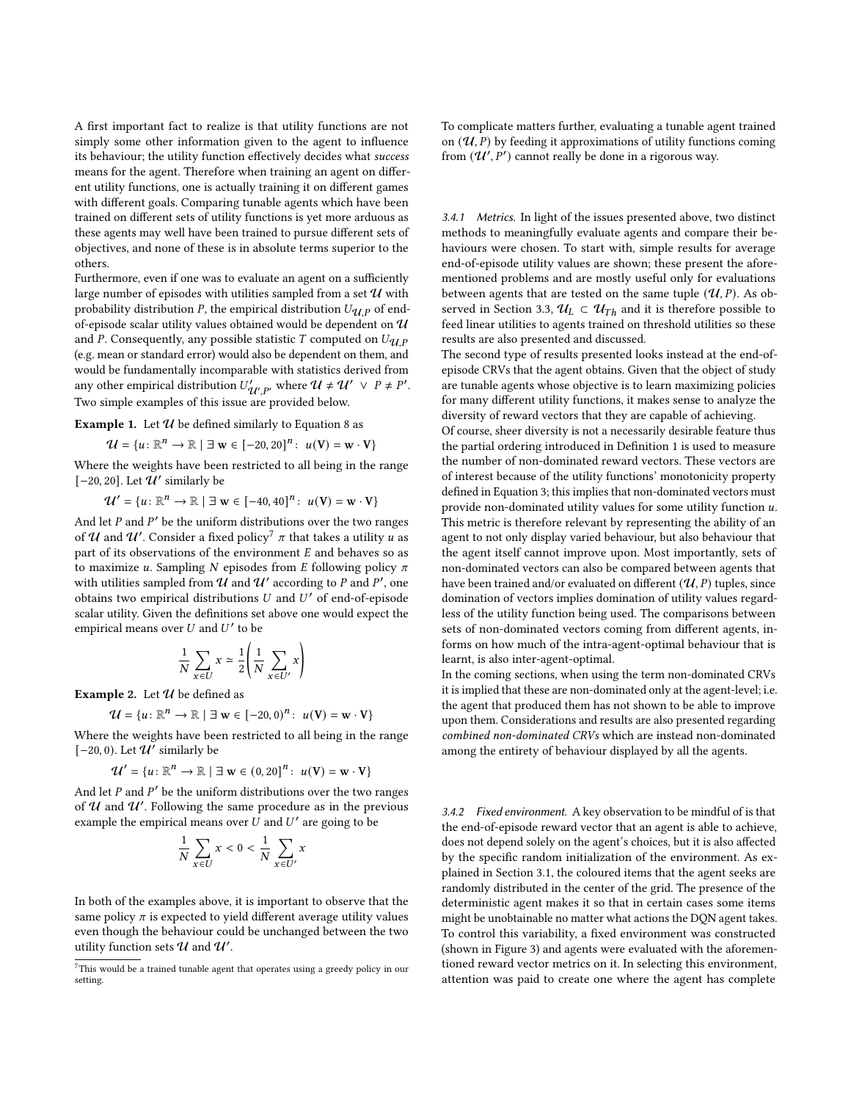A first important fact to realize is that utility functions are not simply some other information given to the agent to influence its behaviour; the utility function effectively decides what success means for the agent. Therefore when training an agent on different utility functions, one is actually training it on different games with different goals. Comparing tunable agents which have been trained on different sets of utility functions is yet more arduous as these agents may well have been trained to pursue different sets of objectives, and none of these is in absolute terms superior to the others.

Furthermore, even if one was to evaluate an agent on a sufficiently large number of episodes with utilities sampled from a set  $\mathcal U$  with probability distribution P, the empirical distribution  $U_{\mathcal{U},P}$  of endof-episode scalar utility values obtained would be dependent on  $\mathcal U$ and P. Consequently, any possible statistic T computed on  $U_{\mathcal{U}}$  p (e.g. mean or standard error) would also be dependent on them, and would be fundamentally incomparable with statistics derived from any other empirical distribution  $U'_{\mathcal{U}',P'}$  where  $\mathcal{U} \neq \mathcal{U}' \vee P \neq P'$ . Two simple examples of this issue are provided below.

**Example 1.** Let  $\mathcal U$  be defined similarly to Equation [8](#page-1-5) as

$$
\mathcal{U} = \{u \colon \mathbb{R}^n \to \mathbb{R} \mid \exists \mathbf{w} \in [-20, 20]^n : u(\mathbf{V}) = \mathbf{w} \cdot \mathbf{V}\}\
$$

Where the weights have been restricted to all being in the range [-20, 20]. Let  $\mathcal{U}'$  similarly be

 $\mathcal{U}' = \{u : \mathbb{R}^n \to \mathbb{R} \mid \exists \mathbf{w} \in [-40, 40]^n : u(\mathbf{V}) = \mathbf{w} \cdot \mathbf{V}\}\$ 

And let  $P$  and  $P'$  be the uniform distributions over the two ranges of  ${\mathcal U}$  and  ${\mathcal U}'$ . Consider a fixed policy $^7$  $^7$   $\pi$  that takes a utility  $u$  as part of its observations of the environment  $E$  and behaves so as to maximize u. Sampling N episodes from E following policy  $\pi$ with utilities sampled from  $\overline{\mathcal{U}}$  and  $\mathcal{U}'$  according to P and P', one obtains two empirical distributions  $U$  and  $U'$  of end-of-episode scalar utility. Given the definitions set above one would expect the empirical means over  $U$  and  $U'$  to be

$$
\frac{1}{N} \sum_{x \in U} x \simeq \frac{1}{2} \left( \frac{1}{N} \sum_{x \in U'} x \right)
$$

Example 2. Let  $\mathcal U$  be defined as

$$
\mathcal{U} = \{u : \mathbb{R}^n \to \mathbb{R} \mid \exists \mathbf{w} \in [-20, 0)^n : u(\mathbf{V}) = \mathbf{w} \cdot \mathbf{V}\}\
$$

Where the weights have been restricted to all being in the range [-20, 0). Let  $\overline{\mathcal{U}'}$  similarly be

$$
\mathcal{U}' = \{u : \mathbb{R}^n \to \mathbb{R} \mid \exists \mathbf{w} \in (0, 20]^n : u(\mathbf{V}) = \mathbf{w} \cdot \mathbf{V}\}\
$$

And let  $P$  and  $P'$  be the uniform distributions over the two ranges of  $U$  and  $U'$ . Following the same procedure as in the previous example the empirical means over  $\hat{U}$  and  $U'$  are going to be

$$
\frac{1}{N}\sum_{x\in U}x<0<\frac{1}{N}\sum_{x\in U'}x
$$

In both of the examples above, it is important to observe that the same policy  $\pi$  is expected to yield different average utility values even though the behaviour could be unchanged between the two utility function sets  $\boldsymbol{\mathcal{U}}$  and  $\boldsymbol{\mathcal{U}}'$ .

To complicate matters further, evaluating a tunable agent trained on  $(\mathcal{U}, P)$  by feeding it approximations of utility functions coming from  $(\mathcal{U}', P')$  cannot really be done in a rigorous way.

<span id="page-4-2"></span>3.4.1 Metrics. In light of the issues presented above, two distinct methods to meaningfully evaluate agents and compare their behaviours were chosen. To start with, simple results for average end-of-episode utility values are shown; these present the aforementioned problems and are mostly useful only for evaluations between agents that are tested on the same tuple  $(\mathcal{U},P).$  As ob-served in Section [3.3,](#page-3-3)  $\mathcal{U}_L \subset \mathcal{U}_{Th}$  and it is therefore possible to feed linear utilities to agents trained on threshold utilities so these results are also presented and discussed.

The second type of results presented looks instead at the end-ofepisode [CRVs](#page-0-1) that the agent obtains. Given that the object of study are tunable agents whose objective is to learn maximizing policies for many different utility functions, it makes sense to analyze the diversity of reward vectors that they are capable of achieving.

Of course, sheer diversity is not a necessarily desirable feature thus the partial ordering introduced in Definition [1](#page-0-0) is used to measure the number of non-dominated reward vectors. These vectors are of interest because of the utility functions' monotonicity property defined in Equation [3;](#page-0-2) this implies that non-dominated vectors must provide non-dominated utility values for some utility function  $u$ . This metric is therefore relevant by representing the ability of an agent to not only display varied behaviour, but also behaviour that the agent itself cannot improve upon. Most importantly, sets of non-dominated vectors can also be compared between agents that have been trained and/or evaluated on different  $(\mathcal{U}, P)$  tuples, since domination of vectors implies domination of utility values regardless of the utility function being used. The comparisons between sets of non-dominated vectors coming from different agents, informs on how much of the intra-agent-optimal behaviour that is learnt, is also inter-agent-optimal.

In the coming sections, when using the term non-dominated [CRVs](#page-0-1) it is implied that these are non-dominated only at the agent-level; i.e. the agent that produced them has not shown to be able to improve upon them. Considerations and results are also presented regarding combined non-dominated [CRVs](#page-0-1) which are instead non-dominated among the entirety of behaviour displayed by all the agents.

<span id="page-4-1"></span>3.4.2 Fixed environment. A key observation to be mindful of is that the end-of-episode reward vector that an agent is able to achieve, does not depend solely on the agent's choices, but it is also affected by the specific random initialization of the environment. As explained in Section [3.1,](#page-2-2) the coloured items that the agent seeks are randomly distributed in the center of the grid. The presence of the deterministic agent makes it so that in certain cases some items might be unobtainable no matter what actions the [DQN](#page-0-1) agent takes. To control this variability, a fixed environment was constructed (shown in Figure [3\)](#page-5-0) and agents were evaluated with the aforementioned reward vector metrics on it. In selecting this environment, attention was paid to create one where the agent has complete

<span id="page-4-0"></span> ${\rm ^7This}$  would be a trained tunable agent that operates using a greedy policy in our setting.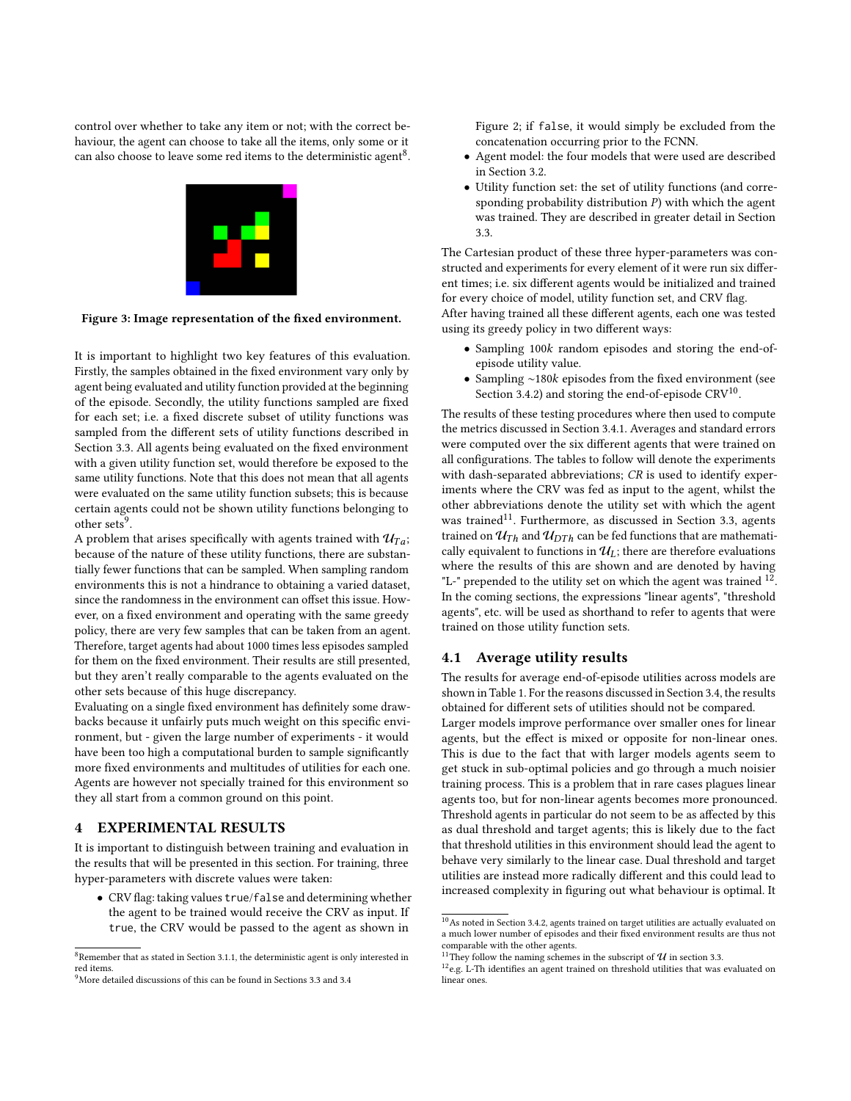<span id="page-5-0"></span>control over whether to take any item or not; with the correct behaviour, the agent can choose to take all the items, only some or it can also choose to leave some red items to the deterministic agent $^8$  $^8$ .



Figure 3: Image representation of the fixed environment.

It is important to highlight two key features of this evaluation. Firstly, the samples obtained in the fixed environment vary only by agent being evaluated and utility function provided at the beginning of the episode. Secondly, the utility functions sampled are fixed for each set; i.e. a fixed discrete subset of utility functions was sampled from the different sets of utility functions described in Section [3.3.](#page-3-3) All agents being evaluated on the fixed environment with a given utility function set, would therefore be exposed to the same utility functions. Note that this does not mean that all agents were evaluated on the same utility function subsets; this is because certain agents could not be shown utility functions belonging to other sets<sup>[9](#page-5-2)</sup>.

A problem that arises specifically with agents trained with  $\mathcal{U}_{T_a}$ ; because of the nature of these utility functions, there are substantially fewer functions that can be sampled. When sampling random environments this is not a hindrance to obtaining a varied dataset, since the randomness in the environment can offset this issue. However, on a fixed environment and operating with the same greedy policy, there are very few samples that can be taken from an agent. Therefore, target agents had about 1000 times less episodes sampled for them on the fixed environment. Their results are still presented, but they aren't really comparable to the agents evaluated on the other sets because of this huge discrepancy.

Evaluating on a single fixed environment has definitely some drawbacks because it unfairly puts much weight on this specific environment, but - given the large number of experiments - it would have been too high a computational burden to sample significantly more fixed environments and multitudes of utilities for each one. Agents are however not specially trained for this environment so they all start from a common ground on this point.

#### <span id="page-5-6"></span>4 EXPERIMENTAL RESULTS

It is important to distinguish between training and evaluation in the results that will be presented in this section. For training, three hyper-parameters with discrete values were taken:

• [CRV](#page-0-1) flag: taking values true/false and determining whether the agent to be trained would receive the [CRV](#page-0-1) as input. If true, the [CRV](#page-0-1) would be passed to the agent as shown in

Figure [2;](#page-3-1) if false, it would simply be excluded from the concatenation occurring prior to the [FCNN.](#page-0-1)

- Agent model: the four models that were used are described in Section [3.2.](#page-2-4)
- Utility function set: the set of utility functions (and corresponding probability distribution  $P$ ) with which the agent was trained. They are described in greater detail in Section [3.3.](#page-3-3)

The Cartesian product of these three hyper-parameters was constructed and experiments for every element of it were run six different times; i.e. six different agents would be initialized and trained for every choice of model, utility function set, and [CRV](#page-0-1) flag. After having trained all these different agents, each one was tested using its greedy policy in two different ways:

- Sampling 100k random episodes and storing the end-ofepisode utility value.
- Sampling ~180 $k$  episodes from the fixed environment (see Section [3.4.2\)](#page-4-1) and storing the end-of-episode  $\mathrm{CRV^{10}}$  $\mathrm{CRV^{10}}$  $\mathrm{CRV^{10}}$ .

The results of these testing procedures where then used to compute the metrics discussed in Section [3.4.1.](#page-4-2) Averages and standard errors were computed over the six different agents that were trained on all configurations. The tables to follow will denote the experiments with dash-separated abbreviations; CR is used to identify experiments where the [CRV](#page-0-1) was fed as input to the agent, whilst the other abbreviations denote the utility set with which the agent was trained<sup>[11](#page-5-4)</sup>. Furthermore, as discussed in Section [3.3,](#page-3-3) agents trained on  $\mathcal{U}_{Th}$  and  $\mathcal{U}_{DTh}$  can be fed functions that are mathematically equivalent to functions in  $\mathcal{U}_L$ ; there are therefore evaluations where the results of this are shown and are denoted by having "L-" prepended to the utility set on which the agent was trained  $12$ . In the coming sections, the expressions "linear agents", "threshold agents", etc. will be used as shorthand to refer to agents that were trained on those utility function sets.

# 4.1 Average utility results

The results for average end-of-episode utilities across models are shown in Table [1.](#page-6-0) For the reasons discussed in Section [3.4,](#page-3-4) the results obtained for different sets of utilities should not be compared.

Larger models improve performance over smaller ones for linear agents, but the effect is mixed or opposite for non-linear ones. This is due to the fact that with larger models agents seem to get stuck in sub-optimal policies and go through a much noisier training process. This is a problem that in rare cases plagues linear agents too, but for non-linear agents becomes more pronounced. Threshold agents in particular do not seem to be as affected by this as dual threshold and target agents; this is likely due to the fact that threshold utilities in this environment should lead the agent to behave very similarly to the linear case. Dual threshold and target utilities are instead more radically different and this could lead to increased complexity in figuring out what behaviour is optimal. It

<span id="page-5-1"></span> $8$ Remember that as stated in Section [3.1.1,](#page-2-3) the deterministic agent is only interested in red items.

<span id="page-5-2"></span><sup>9</sup>More detailed discussions of this can be found in Sections [3.3](#page-3-3) and [3.4](#page-3-4)

<span id="page-5-3"></span> $^{10}\mathrm{As}$  noted in Section [3.4.2,](#page-4-1) agents trained on target utilities are actually evaluated on a much lower number of episodes and their fixed environment results are thus not comparable with the other agents.

<span id="page-5-4"></span><sup>&</sup>lt;sup>11</sup>They follow the naming schemes in the subscript of  $\mathcal U$  in section [3.3.](#page-3-3)

<span id="page-5-5"></span><sup>&</sup>lt;sup>12</sup>e.g. L-Th identifies an agent trained on threshold utilities that was evaluated on linear ones.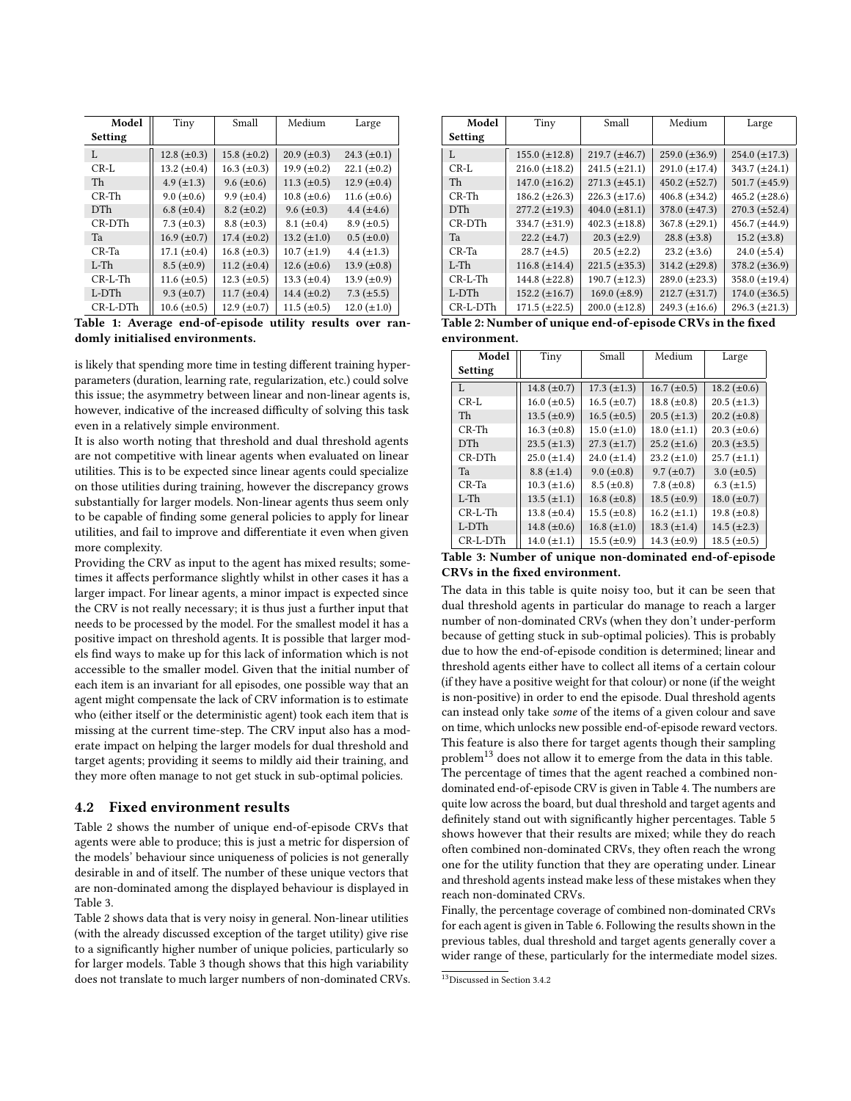<span id="page-6-0"></span>

| Model          | Tiny               | Small             | Medium             | Large             |
|----------------|--------------------|-------------------|--------------------|-------------------|
| <b>Setting</b> |                    |                   |                    |                   |
| L              | 12.8 $(\pm 0.3)$   | 15.8 $(\pm 0.2)$  | $20.9 \ (\pm 0.3)$ | 24.3 $(\pm 0.1)$  |
| $CR-I.$        | 13.2 $(\pm 0.4)$   | 16.3 $(\pm 0.3)$  | 19.9 $(\pm 0.2)$   | 22.1 $(\pm 0.2)$  |
| Th             | $4.9 \ (\pm 1.3)$  | $9.6 \ (\pm 0.6)$ | 11.3 $(\pm 0.5)$   | 12.9 $(\pm 0.4)$  |
| $CR$ -Th       | $9.0 \ (\pm 0.6)$  | 9.9 $(\pm 0.4)$   | $10.8 (\pm 0.6)$   | 11.6 $(\pm 0.6)$  |
| <b>DTh</b>     | 6.8 $(\pm 0.4)$    | $8.2 \ (\pm 0.2)$ | $9.6 \ (\pm 0.3)$  | $4.4 (\pm 4.6)$   |
| CR-DTh         | 7.3 $(\pm 0.3)$    | $8.8 \ (\pm 0.3)$ | $8.1 (\pm 0.4)$    | $8.9 \ (\pm 0.5)$ |
| Ta             | $16.9 \ (\pm 0.7)$ | $17.4 (\pm 0.2)$  | 13.2 $(\pm 1.0)$   | $0.5 (\pm 0.0)$   |
| CR-Ta          | 17.1 $(\pm 0.4)$   | 16.8 $(\pm 0.3)$  | $10.7 (\pm 1.9)$   | $4.4 \ (\pm 1.3)$ |
| $L-Th$         | $8.5 (\pm 0.9)$    | 11.2 $(\pm 0.4)$  | 12.6 $(\pm 0.6)$   | 13.9 $(\pm 0.8)$  |
| $CR-L-Th$      | 11.6 $(\pm 0.5)$   | 12.3 $(\pm 0.5)$  | 13.3 $(\pm 0.4)$   | 13.9 $(\pm 0.9)$  |
| L-DTh          | 9.3 $(\pm 0.7)$    | 11.7 $(\pm 0.4)$  | 14.4 $(\pm 0.2)$   | $7.3 (\pm 5.5)$   |
| CR-L-DTh       | $10.6 (\pm 0.5)$   | 12.9 $(\pm 0.7)$  | 11.5 $(\pm 0.5)$   | $12.0 (\pm 1.0)$  |

Table 1: Average end-of-episode utility results over randomly initialised environments.

is likely that spending more time in testing different training hyperparameters (duration, learning rate, regularization, etc.) could solve this issue; the asymmetry between linear and non-linear agents is, however, indicative of the increased difficulty of solving this task even in a relatively simple environment.

It is also worth noting that threshold and dual threshold agents are not competitive with linear agents when evaluated on linear utilities. This is to be expected since linear agents could specialize on those utilities during training, however the discrepancy grows substantially for larger models. Non-linear agents thus seem only to be capable of finding some general policies to apply for linear utilities, and fail to improve and differentiate it even when given more complexity.

Providing the [CRV](#page-0-1) as input to the agent has mixed results; sometimes it affects performance slightly whilst in other cases it has a larger impact. For linear agents, a minor impact is expected since the [CRV](#page-0-1) is not really necessary; it is thus just a further input that needs to be processed by the model. For the smallest model it has a positive impact on threshold agents. It is possible that larger models find ways to make up for this lack of information which is not accessible to the smaller model. Given that the initial number of each item is an invariant for all episodes, one possible way that an agent might compensate the lack of [CRV](#page-0-1) information is to estimate who (either itself or the deterministic agent) took each item that is missing at the current time-step. The [CRV](#page-0-1) input also has a moderate impact on helping the larger models for dual threshold and target agents; providing it seems to mildly aid their training, and they more often manage to not get stuck in sub-optimal policies.

#### 4.2 Fixed environment results

Table [2](#page-6-1) shows the number of unique end-of-episode [CRVs](#page-0-1) that agents were able to produce; this is just a metric for dispersion of the models' behaviour since uniqueness of policies is not generally desirable in and of itself. The number of these unique vectors that are non-dominated among the displayed behaviour is displayed in Table [3.](#page-6-2)

Table [2](#page-6-1) shows data that is very noisy in general. Non-linear utilities (with the already discussed exception of the target utility) give rise to a significantly higher number of unique policies, particularly so for larger models. Table [3](#page-6-2) though shows that this high variability does not translate to much larger numbers of non-dominated [CRVs](#page-0-1).

<span id="page-6-1"></span>

| Model      | Tiny                 | Small                | Medium             | Large                |
|------------|----------------------|----------------------|--------------------|----------------------|
| Setting    |                      |                      |                    |                      |
| L          | 155.0 $(\pm 12.8)$   | $219.7 (\pm 46.7)$   | 259.0 $(\pm 36.9)$ | $254.0 (\pm 17.3)$   |
| $CR-L$     | 216.0 $(\pm 18.2)$   | $241.5 (\pm 21.1)$   | 291.0 $(\pm 17.4)$ | 343.7 $(\pm 24.1)$   |
| Th         | 147.0 $(\pm 16.2)$   | $271.3 (\pm 45.1)$   | 450.2 $(\pm 52.7)$ | 501.7 $(\pm 45.9)$   |
| $CR$ -Th   | $186.2 \ (\pm 26.3)$ | $226.3 \ (\pm 17.6)$ | 406.8 $(\pm 34.2)$ | 465.2 $(\pm 28.6)$   |
| <b>DTh</b> | $277.2 (\pm 19.3)$   | 404.0 $(\pm 81.1)$   | 378.0 $(\pm 47.3)$ | $270.3 \ (\pm 52.4)$ |
| CR-DTh     | 334.7 $(\pm 31.9)$   | 402.3 $(\pm 18.8)$   | 367.8 $(\pm 29.1)$ | 456.7 $(\pm 44.9)$   |
| Ta         | $22.2 (\pm 4.7)$     | $20.3 (\pm 2.9)$     | 28.8 $(\pm 3.8)$   | 15.2 $(\pm 3.8)$     |
| $CR-Ta$    | $28.7 (\pm 4.5)$     | $20.5 (\pm 2.2)$     | 23.2 $(\pm 3.6)$   | 24.0 $(\pm 5.4)$     |
| $L-Th$     | $116.8 (\pm 14.4)$   | $221.5 (\pm 35.3)$   | 314.2 $(\pm 29.8)$ | $378.2 (\pm 36.9)$   |
| $CR-I$ -Th | 144.8 $(\pm 22.8)$   | $190.7 (\pm 12.3)$   | 289.0 $(\pm 23.3)$ | 358.0 $(\pm 19.4)$   |
| L-DTh      | 152.2 $(\pm 16.7)$   | 169.0 $(\pm 8.9)$    | $212.7 (\pm 31.7)$ | $174.0 (\pm 36.5)$   |
| CR-L-DTh   | $171.5 (\pm 22.5)$   | $200.0 \ (\pm 12.8)$ | 249.3 $(\pm 16.6)$ | $296.3 (\pm 21.3)$   |

Table 2: Number of unique end-of-episode [CRVs](#page-0-1) in the fixed environment.

<span id="page-6-2"></span>

| Model          | Tiny               | Small              | Medium             | Large              |
|----------------|--------------------|--------------------|--------------------|--------------------|
| <b>Setting</b> |                    |                    |                    |                    |
| $\mathbf{I}$ . | 14.8 $(\pm 0.7)$   | $17.3 \ (\pm 1.3)$ | $16.7 (\pm 0.5)$   | 18.2 $(\pm 0.6)$   |
| $CR-L$         | $16.0 \ (\pm 0.5)$ | 16.5 $(\pm 0.7)$   | 18.8 $(\pm 0.8)$   | $20.5 (\pm 1.3)$   |
| Th             | 13.5 $(\pm 0.9)$   | 16.5 $(\pm 0.5)$   | $20.5 (\pm 1.3)$   | $20.2 \ (\pm 0.8)$ |
| $CR$ -Th       | 16.3 $(\pm 0.8)$   | 15.0 $(\pm 1.0)$   | $18.0 (\pm 1.1)$   | $20.3 \ (\pm 0.6)$ |
| <b>DTh</b>     | $23.5 (\pm 1.3)$   | $27.3 (\pm 1.7)$   | $25.2 \ (\pm 1.6)$ | $20.3 \ (\pm 3.5)$ |
| CR-DTh         | $25.0 (\pm 1.4)$   | 24.0 $(\pm 1.4)$   | 23.2 $(\pm 1.0)$   | $25.7 (\pm 1.1)$   |
| Ta             | $8.8 (\pm 1.4)$    | $9.0 \ (\pm 0.8)$  | $9.7 (\pm 0.7)$    | $3.0 \ (\pm 0.5)$  |
| $CR-Ta$        | $10.3 (\pm 1.6)$   | $8.5 \ (\pm 0.8)$  | 7.8 $(\pm 0.8)$    | $6.3 \ (\pm 1.5)$  |
| $L-Th$         | $13.5 (\pm 1.1)$   | 16.8 $(\pm 0.8)$   | 18.5 $(\pm 0.9)$   | 18.0 $(\pm 0.7)$   |
| $CR-L-Th$      | 13.8 $(\pm 0.4)$   | 15.5 $(\pm 0.8)$   | $16.2 (\pm 1.1)$   | 19.8 $(\pm 0.8)$   |
| L-DTh          | 14.8 $(\pm 0.6)$   | $16.8 (\pm 1.0)$   | $18.3 \ (\pm 1.4)$ | 14.5 $(\pm 2.3)$   |
| CR-L-DTh       | $14.0 (\pm 1.1)$   | 15.5 $(\pm 0.9)$   | 14.3 $(\pm 0.9)$   | $18.5 (\pm 0.5)$   |

Table 3: Number of unique non-dominated end-of-episode [CRVs](#page-0-1) in the fixed environment.

The data in this table is quite noisy too, but it can be seen that dual threshold agents in particular do manage to reach a larger number of non-dominated [CRVs](#page-0-1) (when they don't under-perform because of getting stuck in sub-optimal policies). This is probably due to how the end-of-episode condition is determined; linear and threshold agents either have to collect all items of a certain colour (if they have a positive weight for that colour) or none (if the weight is non-positive) in order to end the episode. Dual threshold agents can instead only take some of the items of a given colour and save on time, which unlocks new possible end-of-episode reward vectors. This feature is also there for target agents though their sampling problem<sup>[13](#page-6-3)</sup> does not allow it to emerge from the data in this table. The percentage of times that the agent reached a combined nondominated end-of-episode [CRV](#page-0-1) is given in Table [4.](#page-7-7) The numbers are quite low across the board, but dual threshold and target agents and definitely stand out with significantly higher percentages. Table [5](#page-7-8) shows however that their results are mixed; while they do reach often combined non-dominated [CRVs](#page-0-1), they often reach the wrong one for the utility function that they are operating under. Linear and threshold agents instead make less of these mistakes when they reach non-dominated [CRVs](#page-0-1).

Finally, the percentage coverage of combined non-dominated [CRVs](#page-0-1) for each agent is given in Table [6.](#page-7-9) Following the results shown in the previous tables, dual threshold and target agents generally cover a wider range of these, particularly for the intermediate model sizes.

<span id="page-6-3"></span><sup>13</sup>Discussed in Section [3.4.2](#page-4-1)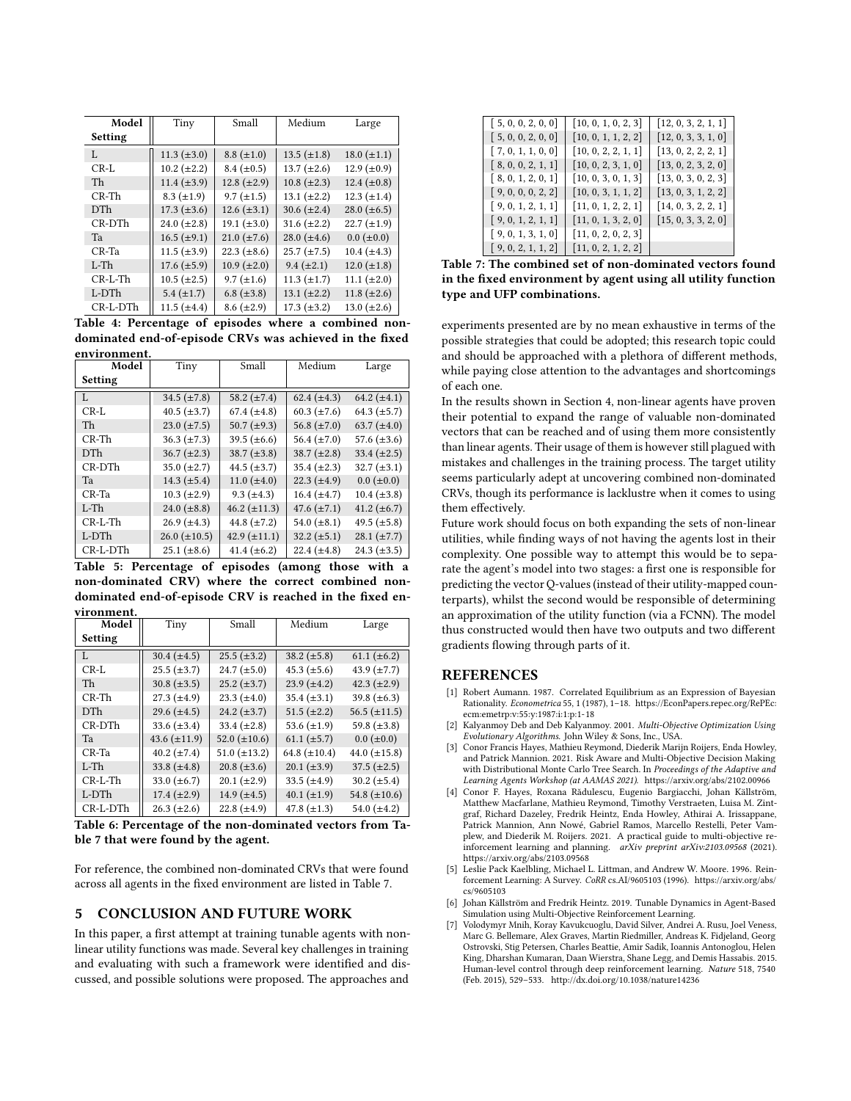<span id="page-7-7"></span>

| Model          | Tiny               | Small              | Medium             | Large               |
|----------------|--------------------|--------------------|--------------------|---------------------|
| <b>Setting</b> |                    |                    |                    |                     |
| $\mathbf{L}$   | 11.3 $(\pm 3.0)$   | $8.8 \ (\pm 1.0)$  | $13.5 (\pm 1.8)$   | $18.0 (\pm 1.1)$    |
| $CR-L$         | $10.2 (\pm 2.2)$   | $8.4 \ (\pm 0.5)$  | 13.7 $(\pm 2.6)$   | 12.9 $(\pm 0.9)$    |
| Th             | 11.4 $(\pm 3.9)$   | $12.8 (\pm 2.9)$   | $10.8 (\pm 2.3)$   | 12.4 $(\pm 0.8)$    |
| $CR$ -Th       | $8.3 \ (\pm 1.9)$  | $9.7 (\pm 1.5)$    | $13.1 (\pm 2.2)$   | $12.3 (\pm 1.4)$    |
| <b>DTh</b>     | $17.3 \ (\pm 3.6)$ | $12.6 (\pm 3.1)$   | $30.6 (\pm 2.4)$   | 28.0 $(\pm 6.5)$    |
| CR-DTh         | 24.0 $(\pm 2.8)$   | 19.1 $(\pm 3.0)$   | $31.6 (\pm 2.2)$   | $22.7 (\pm 1.9)$    |
| Ta             | $16.5 (\pm 9.1)$   | $21.0 \ (\pm 7.6)$ | $28.0 (\pm 4.6)$   | $0.0$ ( $\pm 0.0$ ) |
| CR-Ta          | $11.5 \ (\pm 3.9)$ | 22.3 $(\pm 8.6)$   | $25.7 (\pm 7.5)$   | $10.4 (\pm 4.3)$    |
| $L-Th$         | $17.6 (\pm 5.9)$   | $10.9 \ (\pm 2.0)$ | $9.4 (\pm 2.1)$    | 12.0 $(\pm 1.8)$    |
| $CR-L-Th$      | $10.5 \ (\pm 2.5)$ | $9.7 (\pm 1.6)$    | $11.3 \ (\pm 1.7)$ | 11.1 $(\pm 2.0)$    |
| L-DTh          | 5.4 $(\pm 1.7)$    | $6.8 \ (\pm 3.8)$  | $13.1 (\pm 2.2)$   | 11.8 $(\pm 2.6)$    |
| CR-L-DTh       | 11.5 $(\pm 4.4)$   | $8.6 (\pm 2.9)$    | $17.3 (\pm 3.2)$   | 13.0 $(\pm 2.6)$    |

Table 4: Percentage of episodes where a combined nondominated end-of-episode [CRVs](#page-0-1) was achieved in the fixed

<span id="page-7-8"></span>

| environment. |                     |                   |                    |                    |
|--------------|---------------------|-------------------|--------------------|--------------------|
| Model        | Tiny                | Small             | Medium             | Large              |
| Setting      |                     |                   |                    |                    |
| L            | 34.5 $(\pm 7.8)$    | 58.2 $(\pm 7.4)$  | 62.4 $(\pm 4.3)$   | 64.2 $(\pm 4.1)$   |
| $CR-I.$      | $40.5 \ (\pm 3.7)$  | $67.4 (\pm 4.8)$  | $60.3 \ (\pm 7.6)$ | 64.3 $(\pm 5.7)$   |
| Th           | 23.0 $(\pm 7.5)$    | 50.7 $(\pm 9.3)$  | 56.8 $(\pm 7.0)$   | 63.7 $(\pm 4.0)$   |
| $CR$ -Th     | 36.3 $(\pm 7.3)$    | 39.5 $(\pm 6.6)$  | 56.4 $(\pm 7.0)$   | 57.6 $(\pm 3.6)$   |
| <b>DTh</b>   | $36.7 (\pm 2.3)$    | $38.7 (\pm 3.8)$  | $38.7 (\pm 2.8)$   | 33.4 $(\pm 2.5)$   |
| CR-DTh       | 35.0 $(\pm 2.7)$    | 44.5 $(\pm 3.7)$  | 35.4 $(\pm 2.3)$   | 32.7 $(\pm 3.1)$   |
| Ta           | 14.3 $(\pm 5.4)$    | 11.0 $(\pm 4.0)$  | $22.3 \ (\pm 4.9)$ | $0.0 (\pm 0.0)$    |
| $CR-Ta$      | $10.3 \ (\pm 2.9)$  | $9.3 \ (\pm 4.3)$ | $16.4 (\pm 4.7)$   | $10.4 \ (\pm 3.8)$ |
| $L-Th$       | 24.0 $(\pm 8.8)$    | 46.2 $(\pm 11.3)$ | 47.6 $(\pm 7.1)$   | 41.2 $(\pm 6.7)$   |
| $CR-I$ -Th   | $26.9 \ (\pm 4.3)$  | 44.8 $(\pm 7.2)$  | 54.0 $(\pm 8.1)$   | 49.5 $(\pm 5.8)$   |
| L-DTh        | $26.0 \ (\pm 10.5)$ | 42.9 $(\pm 11.1)$ | 32.2 $(\pm 5.1)$   | $28.1 (\pm 7.7)$   |
| $CR-L-DTh$   | $25.1 (\pm 8.6)$    | 41.4 $(\pm 6.2)$  | 22.4 $(\pm 4.8)$   | 24.3 $(\pm 3.5)$   |

Table 5: Percentage of episodes (among those with a non-dominated CRV) where the correct combined nondominated end-of-episode [CRV](#page-0-1) is reached in the fixed environment.

<span id="page-7-9"></span>

| Model          | Tiny               | Small             | Medium            | Large               |
|----------------|--------------------|-------------------|-------------------|---------------------|
| <b>Setting</b> |                    |                   |                   |                     |
| L              | 30.4 $(\pm 4.5)$   | $25.5 (\pm 3.2)$  | $38.2 (\pm 5.8)$  | 61.1 $(\pm 6.2)$    |
| $CR-I.$        | $25.5 (\pm 3.7)$   | 24.7 $(\pm 5.0)$  | $45.3 (\pm 5.6)$  | 43.9 $(\pm 7.7)$    |
| Th             | 30.8 $(\pm 3.5)$   | $25.2 (\pm 3.7)$  | $23.9 (\pm 4.2)$  | 42.3 $(\pm 2.9)$    |
| $CR$ -Th       | $27.3 (\pm 4.9)$   | 23.3 $(\pm 4.0)$  | $35.4 (\pm 3.1)$  | 39.8 $(\pm 6.3)$    |
| <b>DTh</b>     | 29.6 $(\pm 4.5)$   | 24.2 $(\pm 3.7)$  | $51.5 (\pm 2.2)$  | 56.5 $(\pm 11.5)$   |
| CR-DTh         | 33.6 $(\pm 3.4)$   | 33.4 $(\pm 2.8)$  | 53.6 $(\pm 1.9)$  | 59.8 $(\pm 3.8)$    |
| Ta             | 43.6 $(\pm 11.9)$  | 52.0 $(\pm 10.6)$ | $61.1 (\pm 5.7)$  | $0.0$ ( $\pm 0.0$ ) |
| $CR-Ta$        | 40.2 $(\pm 7.4)$   | $51.0 (\pm 13.2)$ | 64.8 $(\pm 10.4)$ | 44.0 $(\pm 15.8)$   |
| $L$ -Th        | 33.8 $(\pm 4.8)$   | 20.8 $(\pm 3.6)$  | $20.1 (\pm 3.9)$  | $37.5 (\pm 2.5)$    |
| $CR-L-Th$      | 33.0 $(\pm 6.7)$   | $20.1 (\pm 2.9)$  | 33.5 $(\pm 4.9)$  | 30.2 $(\pm 5.4)$    |
| $L-DTh$        | $17.4 (\pm 2.9)$   | 14.9 $(\pm 4.5)$  | 40.1 $(\pm 1.9)$  | 54.8 $(\pm 10.6)$   |
| CR-L-DTh       | $26.3 \ (\pm 2.6)$ | 22.8 $(\pm 4.9)$  | 47.8 $(\pm 1.3)$  | 54.0 $(\pm 4.2)$    |

Table 6: Percentage of the non-dominated vectors from Table [7](#page-7-10) that were found by the agent.

For reference, the combined non-dominated [CRVs](#page-0-1) that were found across all agents in the fixed environment are listed in Table [7.](#page-7-10)

## 5 CONCLUSION AND FUTURE WORK

In this paper, a first attempt at training tunable agents with nonlinear utility functions was made. Several key challenges in training and evaluating with such a framework were identified and discussed, and possible solutions were proposed. The approaches and

<span id="page-7-10"></span>

| [5, 0, 0, 2, 0, 0] | [10, 0, 1, 0, 2, 3] | [12, 0, 3, 2, 1, 1] |
|--------------------|---------------------|---------------------|
| [5, 0, 0, 2, 0, 0] | [10, 0, 1, 1, 2, 2] | [12, 0, 3, 3, 1, 0] |
| [7, 0, 1, 1, 0, 0] | [10, 0, 2, 2, 1, 1] | [13, 0, 2, 2, 2, 1] |
| [8, 0, 0, 2, 1, 1] | [10, 0, 2, 3, 1, 0] | [13, 0, 2, 3, 2, 0] |
| [8, 0, 1, 2, 0, 1] | [10, 0, 3, 0, 1, 3] | [13, 0, 3, 0, 2, 3] |
| [9, 0, 0, 0, 2, 2] | [10, 0, 3, 1, 1, 2] | [13, 0, 3, 1, 2, 2] |
| [9, 0, 1, 2, 1, 1] | [11, 0, 1, 2, 2, 1] | [14, 0, 3, 2, 2, 1] |
| [9, 0, 1, 2, 1, 1] | [11, 0, 1, 3, 2, 0] | [15, 0, 3, 3, 2, 0] |
| [9, 0, 1, 3, 1, 0] | [11, 0, 2, 0, 2, 3] |                     |
| [9, 0, 2, 1, 1, 2] | [11, 0, 2, 1, 2, 2] |                     |

Table 7: The combined set of non-dominated vectors found in the fixed environment by agent using all utility function type and UFP combinations.

experiments presented are by no mean exhaustive in terms of the possible strategies that could be adopted; this research topic could and should be approached with a plethora of different methods, while paying close attention to the advantages and shortcomings of each one.

In the results shown in Section [4,](#page-5-6) non-linear agents have proven their potential to expand the range of valuable non-dominated vectors that can be reached and of using them more consistently than linear agents. Their usage of them is however still plagued with mistakes and challenges in the training process. The target utility seems particularly adept at uncovering combined non-dominated [CRVs](#page-0-1), though its performance is lacklustre when it comes to using them effectively.

Future work should focus on both expanding the sets of non-linear utilities, while finding ways of not having the agents lost in their complexity. One possible way to attempt this would be to separate the agent's model into two stages: a first one is responsible for predicting the vector Q-values (instead of their utility-mapped counterparts), whilst the second would be responsible of determining an approximation of the utility function (via a [FCNN\)](#page-0-1). The model thus constructed would then have two outputs and two different gradients flowing through parts of it.

## REFERENCES

- <span id="page-7-4"></span>[1] Robert Aumann. 1987. Correlated Equilibrium as an Expression of Bayesian Rationality. Econometrica 55, 1 (1987), 1–18. [https://EconPapers.repec.org/RePEc:](https://EconPapers.repec.org/RePEc:ecm:emetrp:v:55:y:1987:i:1:p:1-18) [ecm:emetrp:v:55:y:1987:i:1:p:1-18](https://EconPapers.repec.org/RePEc:ecm:emetrp:v:55:y:1987:i:1:p:1-18)
- <span id="page-7-3"></span>[2] Kalyanmoy Deb and Deb Kalyanmoy. 2001. Multi-Objective Optimization Using Evolutionary Algorithms. John Wiley & Sons, Inc., USA.
- <span id="page-7-6"></span>[3] Conor Francis Hayes, Mathieu Reymond, Diederik Marijn Roijers, Enda Howley, and Patrick Mannion. 2021. Risk Aware and Multi-Objective Decision Making with Distributional Monte Carlo Tree Search. In Proceedings of the Adaptive and Learning Agents Workshop (at AAMAS 2021).<https://arxiv.org/abs/2102.00966>
- <span id="page-7-1"></span>[4] Conor F. Hayes, Roxana Rădulescu, Eugenio Bargiacchi, Johan Källström, Matthew Macfarlane, Mathieu Reymond, Timothy Verstraeten, Luisa M. Zintgraf, Richard Dazeley, Fredrik Heintz, Enda Howley, Athirai A. Irissappane, Patrick Mannion, Ann Nowé, Gabriel Ramos, Marcello Restelli, Peter Vamplew, and Diederik M. Roijers. 2021. A practical guide to multi-objective reinforcement learning and planning. arXiv preprint arXiv:2103.09568 (2021). <https://arxiv.org/abs/2103.09568>
- <span id="page-7-2"></span>[5] Leslie Pack Kaelbling, Michael L. Littman, and Andrew W. Moore. 1996. Reinforcement Learning: A Survey. CoRR cs.AI/9605103 (1996). [https://arxiv.org/abs/](https://arxiv.org/abs/cs/9605103) [cs/9605103](https://arxiv.org/abs/cs/9605103)
- <span id="page-7-0"></span>[6] Johan Källström and Fredrik Heintz. 2019. Tunable Dynamics in Agent-Based Simulation using Multi-Objective Reinforcement Learning.
- <span id="page-7-5"></span>[7] Volodymyr Mnih, Koray Kavukcuoglu, David Silver, Andrei A. Rusu, Joel Veness, Marc G. Bellemare, Alex Graves, Martin Riedmiller, Andreas K. Fidjeland, Georg Ostrovski, Stig Petersen, Charles Beattie, Amir Sadik, Ioannis Antonoglou, Helen King, Dharshan Kumaran, Daan Wierstra, Shane Legg, and Demis Hassabis. 2015. Human-level control through deep reinforcement learning. Nature 518, 7540 (Feb. 2015), 529–533.<http://dx.doi.org/10.1038/nature14236>